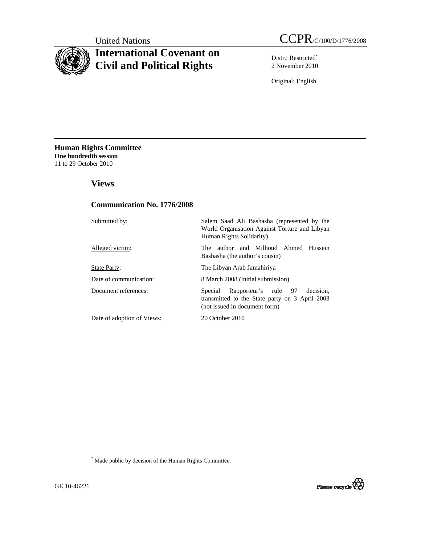# **International Covenant on Civil and Political Rights**

Distr.: Restricted\* 2 November 2010

Original: English

**Human Rights Committee One hundredth session** 11 to 29 October 2010

 **Views** 

## **Communication No. 1776/2008**

Submitted by: Salem Saad Ali Bashasha (represented by the World Organisation Against Torture and Libyan Human Rights Solidarity) Alleged victim: The author and Milhoud Ahmed Hussein Bashasha (the author's cousin) State Party: The Libyan Arab Jamahiriya Date of communication: 8 March 2008 (initial submission) Document references: Special Rapporteur's rule 97 decision, transmitted to the State party on 3 April 2008 (not issued in document form) Date of adoption of Views: 20 October 2010

\* Made public by decision of the Human Rights Committee.

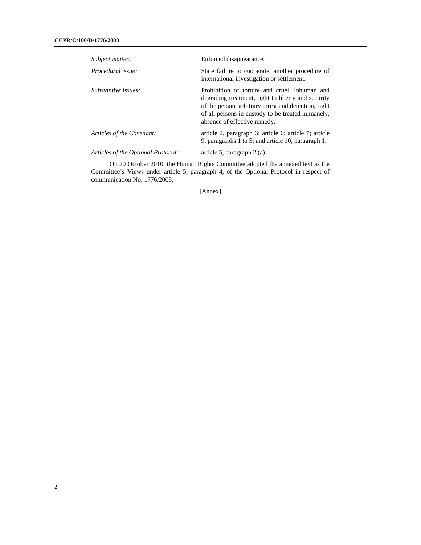| Subject matter:                    | Enforced disappearance.                                                                                                                                                                                                                          |
|------------------------------------|--------------------------------------------------------------------------------------------------------------------------------------------------------------------------------------------------------------------------------------------------|
| Procedural issue:                  | State failure to cooperate, another procedure of<br>international investigation or settlement.                                                                                                                                                   |
| Substantive issues:                | Prohibition of torture and cruel, inhuman and<br>degrading treatment, right to liberty and security<br>of the person, arbitrary arrest and detention, right<br>of all persons in custody to be treated humanely,<br>absence of effective remedy. |
| Articles of the Covenant:          | article 2, paragraph 3; article 6; article 7; article<br>9, paragraphs 1 to 5; and article 10, paragraph 1.                                                                                                                                      |
| Articles of the Optional Protocol: | article 5, paragraph $2(a)$                                                                                                                                                                                                                      |

On 20 October 2010, the Human Rights Committee adopted the annexed text as the Committee's Views under article 5, paragraph 4, of the Optional Protocol in respect of communication No. 1776/2008.

[Annex]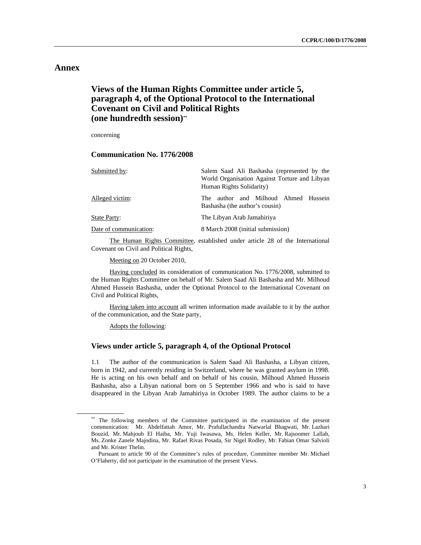## **Annex**

# **Views of the Human Rights Committee under article 5, paragraph 4, of the Optional Protocol to the International Covenant on Civil and Political Rights (one hundredth session)\*\***

concerning

## **Communication No. 1776/2008**

| Submitted by:          | Salem Saad Ali Bashasha (represented by the   |
|------------------------|-----------------------------------------------|
|                        | World Organisation Against Torture and Libyan |
|                        | Human Rights Solidarity)                      |
| Alleged victim:        | author and Milhoud Ahmed Hussein<br>The 1     |
|                        | Bashasha (the author's cousin)                |
| <b>State Party:</b>    | The Libyan Arab Jamahiriya                    |
| Date of communication: | 8 March 2008 (initial submission)             |
|                        |                                               |

 The Human Rights Committee, established under article 28 of the International Covenant on Civil and Political Rights,

Meeting on 20 October 2010,

 Having concluded its consideration of communication No. 1776/2008, submitted to the Human Rights Committee on behalf of Mr. Salem Saad Ali Bashasha and Mr. Milhoud Ahmed Hussein Bashasha, under the Optional Protocol to the International Covenant on Civil and Political Rights,

 Having taken into account all written information made available to it by the author of the communication, and the State party,

Adopts the following:

#### **Views under article 5, paragraph 4, of the Optional Protocol**

1.1 The author of the communication is Salem Saad Ali Bashasha, a Libyan citizen, born in 1942, and currently residing in Switzerland, where he was granted asylum in 1998. He is acting on his own behalf and on behalf of his cousin, Milhoud Ahmed Hussein Bashasha, also a Libyan national born on 5 September 1966 and who is said to have disappeared in the Libyan Arab Jamahiriya in October 1989. The author claims to be a

<sup>\*\*</sup> The following members of the Committee participated in the examination of the present communication: Mr. Abdelfattah Amor, Mr. Prafullachandra Natwarlal Bhagwati, Mr. Lazhari Bouzid, Mr. Mahjoub El Haiba, Mr. Yuji Iwasawa, Ms. Helen Keller, Mr. Rajsoomer Lallah, Ms. Zonke Zanele Majodina, Mr. Rafael Rivas Posada, Sir Nigel Rodley, Mr. Fabian Omar Salvioli and Mr. Krister Thelin.

Pursuant to article 90 of the Committee's rules of procedure, Committee member Mr. Michael O'Flaherty, did not participate in the examination of the present Views.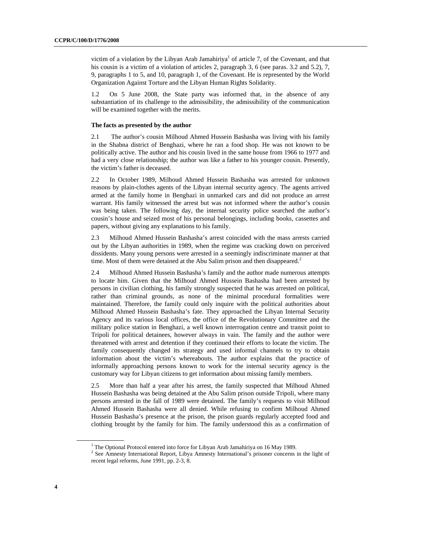victim of a violation by the Libyan Arab Jamahiriya<sup>1</sup> of article 7, of the Covenant, and that his cousin is a victim of a violation of articles 2, paragraph 3, 6 (see paras. 3.2 and 5.2), 7, 9, paragraphs 1 to 5, and 10, paragraph 1, of the Covenant. He is represented by the World Organization Against Torture and the Libyan Human Rights Solidarity.

1.2 On 5 June 2008, the State party was informed that, in the absence of any substantiation of its challenge to the admissibility, the admissibility of the communication will be examined together with the merits.

#### **The facts as presented by the author**

2.1 The author's cousin Milhoud Ahmed Hussein Bashasha was living with his family in the Shabna district of Benghazi, where he ran a food shop. He was not known to be politically active. The author and his cousin lived in the same house from 1966 to 1977 and had a very close relationship; the author was like a father to his younger cousin. Presently, the victim's father is deceased.

2.2 In October 1989, Milhoud Ahmed Hussein Bashasha was arrested for unknown reasons by plain-clothes agents of the Libyan internal security agency. The agents arrived armed at the family home in Benghazi in unmarked cars and did not produce an arrest warrant. His family witnessed the arrest but was not informed where the author's cousin was being taken. The following day, the internal security police searched the author's cousin's house and seized most of his personal belongings, including books, cassettes and papers, without giving any explanations to his family.

2.3 Milhoud Ahmed Hussein Bashasha's arrest coincided with the mass arrests carried out by the Libyan authorities in 1989, when the regime was cracking down on perceived dissidents. Many young persons were arrested in a seemingly indiscriminate manner at that time. Most of them were detained at the Abu Salim prison and then disappeared.<sup>2</sup>

2.4 Milhoud Ahmed Hussein Bashasha's family and the author made numerous attempts to locate him. Given that the Milhoud Ahmed Hussein Bashasha had been arrested by persons in civilian clothing, his family strongly suspected that he was arrested on political, rather than criminal grounds, as none of the minimal procedural formalities were maintained. Therefore, the family could only inquire with the political authorities about Milhoud Ahmed Hussein Bashasha's fate. They approached the Libyan Internal Security Agency and its various local offices, the office of the Revolutionary Committee and the military police station in Benghazi, a well known interrogation centre and transit point to Tripoli for political detainees, however always in vain. The family and the author were threatened with arrest and detention if they continued their efforts to locate the victim. The family consequently changed its strategy and used informal channels to try to obtain information about the victim's whereabouts. The author explains that the practice of informally approaching persons known to work for the internal security agency is the customary way for Libyan citizens to get information about missing family members.

2.5 More than half a year after his arrest, the family suspected that Milhoud Ahmed Hussein Bashasha was being detained at the Abu Salim prison outside Tripoli, where many persons arrested in the fall of 1989 were detained. The family's requests to visit Milhoud Ahmed Hussein Bashasha were all denied. While refusing to confirm Milhoud Ahmed Hussein Bashasha's presence at the prison, the prison guards regularly accepted food and clothing brought by the family for him. The family understood this as a confirmation of

<sup>&</sup>lt;sup>1</sup> The Optional Protocol entered into force for Libyan Arab Jamahiriya on 16 May 1989.

<sup>&</sup>lt;sup>2</sup> See Amnesty International Report, Libya Amnesty International's prisoner concerns in the light of recent legal reforms, June 1991, pp. 2-3, 8.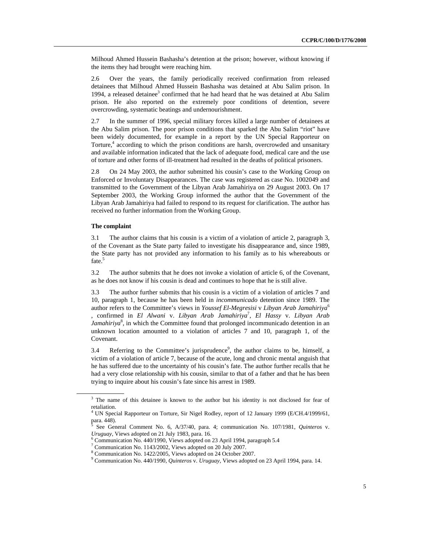Milhoud Ahmed Hussein Bashasha's detention at the prison; however, without knowing if the items they had brought were reaching him.

2.6 Over the years, the family periodically received confirmation from released detainees that Milhoud Ahmed Hussein Bashasha was detained at Abu Salim prison. In 1994, a released detainee<sup>3</sup> confirmed that he had heard that he was detained at Abu Salim prison. He also reported on the extremely poor conditions of detention, severe overcrowding, systematic beatings and undernourishment.

2.7 In the summer of 1996, special military forces killed a large number of detainees at the Abu Salim prison. The poor prison conditions that sparked the Abu Salim "riot" have been widely documented, for example in a report by the UN Special Rapporteur on Torture,<sup>4</sup> according to which the prison conditions are harsh, overcrowded and unsanitary and available information indicated that the lack of adequate food, medical care and the use of torture and other forms of ill-treatment had resulted in the deaths of political prisoners.

2.8 On 24 May 2003, the author submitted his cousin's case to the Working Group on Enforced or Involuntary Disappearances. The case was registered as case No. 1002049 and transmitted to the Government of the Libyan Arab Jamahiriya on 29 August 2003. On 17 September 2003, the Working Group informed the author that the Government of the Libyan Arab Jamahiriya had failed to respond to its request for clarification. The author has received no further information from the Working Group.

#### **The complaint**

3.1 The author claims that his cousin is a victim of a violation of article 2, paragraph 3, of the Covenant as the State party failed to investigate his disappearance and, since 1989, the State party has not provided any information to his family as to his whereabouts or fate.<sup>5</sup>

3.2 The author submits that he does not invoke a violation of article 6, of the Covenant, as he does not know if his cousin is dead and continues to hope that he is still alive.

3.3 The author further submits that his cousin is a victim of a violation of articles 7 and 10, paragraph 1, because he has been held in *incommunicado* detention since 1989. The author refers to the Committee's views in *Youssef El-Megresisi* v *Libyan Arab Jamahiriya*<sup>6</sup> , confirmed in *El Alwani* v. *Libyan Arab Jamahiriya*<sup>7</sup> , *El Hassy* v. *Libyan Arab*  Jamahiriya<sup>8</sup>, in which the Committee found that prolonged incommunicado detention in an unknown location amounted to a violation of articles 7 and 10, paragraph 1, of the Covenant.

3.4 Referring to the Committee's jurisprudence<sup>9</sup>, the author claims to be, himself, a victim of a violation of article 7, because of the acute, long and chronic mental anguish that he has suffered due to the uncertainty of his cousin's fate. The author further recalls that he had a very close relationship with his cousin, similar to that of a father and that he has been trying to inquire about his cousin's fate since his arrest in 1989.

<sup>&</sup>lt;sup>3</sup> The name of this detainee is known to the author but his identity is not disclosed for fear of retaliation.

<sup>&</sup>lt;sup>4</sup> UN Special Rapporteur on Torture, Sir Nigel Rodley, report of 12 January 1999 (E/CH.4/1999/61, para. 448).<br>5 See Cen

See General Comment No. 6, A/37/40, para. 4; communication No. 107/1981, *Quinteros* v. *Uruguay*, Views adopted on 21 July 1983, para. 16.

 $6$  Communication No. 440/1990, Views adopted on 23 April 1994, paragraph 5.4

<sup>7</sup> Communication No. 1143/2002, Views adopted on 20 July 2007.

<sup>8</sup> Communication No. 1422/2005, Views adopted on 24 October 2007.

<sup>9</sup> Communication No. 440/1990, *Quinteros* v. *Uruguay,* Views adopted on 23 April 1994, para. 14.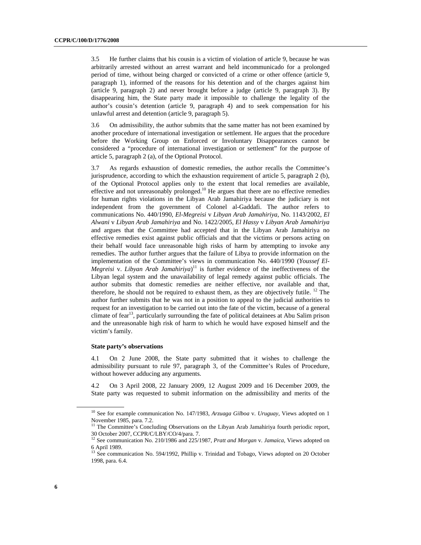3.5 He further claims that his cousin is a victim of violation of article 9, because he was arbitrarily arrested without an arrest warrant and held incommunicado for a prolonged period of time, without being charged or convicted of a crime or other offence (article 9, paragraph 1), informed of the reasons for his detention and of the charges against him (article 9, paragraph 2) and never brought before a judge (article 9, paragraph 3). By disappearing him, the State party made it impossible to challenge the legality of the author's cousin's detention (article 9, paragraph 4) and to seek compensation for his unlawful arrest and detention (article 9, paragraph 5).

3.6 On admissibility, the author submits that the same matter has not been examined by another procedure of international investigation or settlement. He argues that the procedure before the Working Group on Enforced or Involuntary Disappearances cannot be considered a "procedure of international investigation or settlement" for the purpose of article 5, paragraph 2 (a), of the Optional Protocol.

3.7 As regards exhaustion of domestic remedies, the author recalls the Committee's jurisprudence, according to which the exhaustion requirement of article 5, paragraph 2 (b), of the Optional Protocol applies only to the extent that local remedies are available, effective and not unreasonably prolonged.<sup>10</sup> He argues that there are no effective remedies for human rights violations in the Libyan Arab Jamahiriya because the judiciary is not independent from the government of Colonel al-Gaddafi. The author refers to communications No. 440/1990, *El-Megreisi* v *Libyan Arab Jamahiriya*, No. 1143/2002, *El Alwani* v *Libyan Arab Jamahiriya* and No. 1422/2005, *El Hassy* v *Libyan Arab Jamahiriya* and argues that the Committee had accepted that in the Libyan Arab Jamahiriya no effective remedies exist against public officials and that the victims or persons acting on their behalf would face unreasonable high risks of harm by attempting to invoke any remedies. The author further argues that the failure of Libya to provide information on the implementation of the Committee's views in communication No. 440/1990 (*Youssef El-Megreisi* v. *Libyan Arab Jamahiriya*) <sup>11</sup> is further evidence of the ineffectiveness of the Libyan legal system and the unavailability of legal remedy against public officials. The author submits that domestic remedies are neither effective, nor available and that, therefore, he should not be required to exhaust them, as they are objectively futile.  $^{12}$  The author further submits that he was not in a position to appeal to the judicial authorities to request for an investigation to be carried out into the fate of the victim, because of a general climate of fear<sup>13</sup>, particularly surrounding the fate of political detainees at Abu Salim prison and the unreasonable high risk of harm to which he would have exposed himself and the victim's family.

#### **State party's observations**

4.1 On 2 June 2008, the State party submitted that it wishes to challenge the admissibility pursuant to rule 97, paragraph 3, of the Committee's Rules of Procedure, without however adducing any arguments.

4.2 On 3 April 2008, 22 January 2009, 12 August 2009 and 16 December 2009, the State party was requested to submit information on the admissibility and merits of the

<sup>10</sup> See for example communication No. 147/1983, *Arzuaga Gilboa* v. *Uruguay*, Views adopted on 1 November 1985, para. 7.2.

<sup>&</sup>lt;sup>11</sup> The Committee's Concluding Observations on the Libyan Arab Jamahiriya fourth periodic report, 30 October 2007, CCPR/C/LBY/CO/4/para. 7.

<sup>12</sup> See communication No. 210/1986 and 225/1987, *Pratt and Morgan* v. *Jamaica,* Views adopted on 6 April 1989.

<sup>&</sup>lt;sup>13</sup> See communication No. 594/1992, Phillip v. Trinidad and Tobago, Views adopted on 20 October 1998, para. 6.4.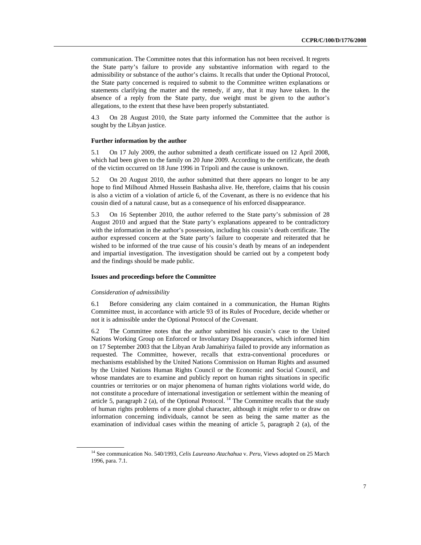communication. The Committee notes that this information has not been received. It regrets the State party's failure to provide any substantive information with regard to the admissibility or substance of the author's claims. It recalls that under the Optional Protocol, the State party concerned is required to submit to the Committee written explanations or statements clarifying the matter and the remedy, if any, that it may have taken. In the absence of a reply from the State party, due weight must be given to the author's allegations, to the extent that these have been properly substantiated.

4.3 On 28 August 2010, the State party informed the Committee that the author is sought by the Libyan justice.

#### **Further information by the author**

5.1 On 17 July 2009, the author submitted a death certificate issued on 12 April 2008, which had been given to the family on 20 June 2009. According to the certificate, the death of the victim occurred on 18 June 1996 in Tripoli and the cause is unknown.

5.2 On 20 August 2010, the author submitted that there appears no longer to be any hope to find Milhoud Ahmed Hussein Bashasha alive. He, therefore, claims that his cousin is also a victim of a violation of article 6, of the Covenant, as there is no evidence that his cousin died of a natural cause, but as a consequence of his enforced disappearance.

5.3 On 16 September 2010, the author referred to the State party's submission of 28 August 2010 and argued that the State party's explanations appeared to be contradictory with the information in the author's possession, including his cousin's death certificate. The author expressed concern at the State party's failure to cooperate and reiterated that he wished to be informed of the true cause of his cousin's death by means of an independent and impartial investigation. The investigation should be carried out by a competent body and the findings should be made public.

#### **Issues and proceedings before the Committee**

#### *Consideration of admissibility*

6.1 Before considering any claim contained in a communication, the Human Rights Committee must, in accordance with article 93 of its Rules of Procedure, decide whether or not it is admissible under the Optional Protocol of the Covenant.

6.2 The Committee notes that the author submitted his cousin's case to the United Nations Working Group on Enforced or Involuntary Disappearances, which informed him on 17 September 2003 that the Libyan Arab Jamahiriya failed to provide any information as requested. The Committee, however, recalls that extra-conventional procedures or mechanisms established by the United Nations Commission on Human Rights and assumed by the United Nations Human Rights Council or the Economic and Social Council, and whose mandates are to examine and publicly report on human rights situations in specific countries or territories or on major phenomena of human rights violations world wide, do not constitute a procedure of international investigation or settlement within the meaning of article 5, paragraph 2 (a), of the Optional Protocol.  $^{14}$  The Committee recalls that the study of human rights problems of a more global character, although it might refer to or draw on information concerning individuals, cannot be seen as being the same matter as the examination of individual cases within the meaning of article 5, paragraph 2 (a), of the

<sup>14</sup> See communication No. 540/1993, *Celis Laureano Atachahua* v. *Peru*, Views adopted on 25 March 1996, para. 7.1.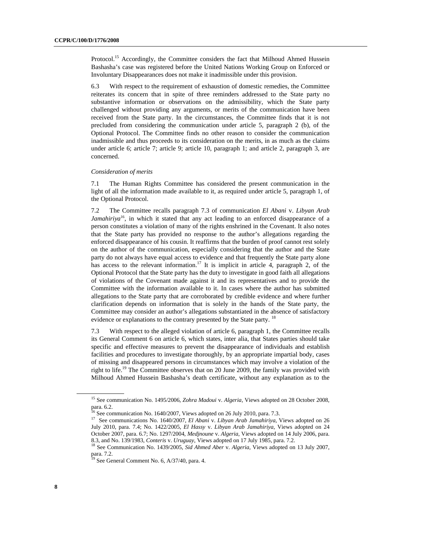Protocol.<sup>15</sup> Accordingly, the Committee considers the fact that Milhoud Ahmed Hussein Bashasha's case was registered before the United Nations Working Group on Enforced or Involuntary Disappearances does not make it inadmissible under this provision.

6.3 With respect to the requirement of exhaustion of domestic remedies, the Committee reiterates its concern that in spite of three reminders addressed to the State party no substantive information or observations on the admissibility, which the State party challenged without providing any arguments, or merits of the communication have been received from the State party. In the circumstances, the Committee finds that it is not precluded from considering the communication under article 5, paragraph 2 (b), of the Optional Protocol. The Committee finds no other reason to consider the communication inadmissible and thus proceeds to its consideration on the merits, in as much as the claims under article 6; article 7; article 9; article 10, paragraph 1; and article 2, paragraph 3, are concerned.

#### *Consideration of merits*

7.1 The Human Rights Committee has considered the present communication in the light of all the information made available to it, as required under article 5, paragraph 1, of the Optional Protocol.

7.2 The Committee recalls paragraph 7.3 of communication *El Abani* v. *Libyan Arab Jamahiriya*<sup>16</sup>, in which it stated that any act leading to an enforced disappearance of a person constitutes a violation of many of the rights enshrined in the Covenant. It also notes that the State party has provided no response to the author's allegations regarding the enforced disappearance of his cousin. It reaffirms that the burden of proof cannot rest solely on the author of the communication, especially considering that the author and the State party do not always have equal access to evidence and that frequently the State party alone has access to the relevant information.<sup>17</sup> It is implicit in article 4, paragraph 2, of the Optional Protocol that the State party has the duty to investigate in good faith all allegations of violations of the Covenant made against it and its representatives and to provide the Committee with the information available to it. In cases where the author has submitted allegations to the State party that are corroborated by credible evidence and where further clarification depends on information that is solely in the hands of the State party, the Committee may consider an author's allegations substantiated in the absence of satisfactory evidence or explanations to the contrary presented by the State party. <sup>18</sup>

7.3 With respect to the alleged violation of article 6, paragraph 1, the Committee recalls its General Comment 6 on article 6, which states, inter alia, that States parties should take specific and effective measures to prevent the disappearance of individuals and establish facilities and procedures to investigate thoroughly, by an appropriate impartial body, cases of missing and disappeared persons in circumstances which may involve a violation of the right to life.<sup>19</sup> The Committee observes that on 20 June 2009, the family was provided with Milhoud Ahmed Hussein Bashasha's death certificate, without any explanation as to the

<sup>15</sup> See communication No. 1495/2006, *Zohra Madoui* v. *Algeria*, Views adopted on 28 October 2008, para. 6.2.

<sup>&</sup>lt;sup>16</sup> See communication No. 1640/2007, Views adopted on 26 July 2010, para. 7.3.

<sup>17</sup> See communications No. 1640/2007, *El Abani* v. *Libyan Arab Jamahiriya*, Views adopted on 26 July 2010, para. 7.4; No. 1422/2005, *El Hassy* v. *Libyan Arab Jamahiriya*, Views adopted on 24 October 2007, para. 6.7; No. 1297/2004, *Medjnoune* v. *Algeria*, Views adopted on 14 July 2006, para. 8.3, and No. 139/1983, *Conteris* v. *Uruguay*, Views adopted on 17 July 1985, para. 7.2. 18 See Communication No. 1439/2005, *Sid Ahmed Aber* v. *Algeria*, Views adopted on 13 July 2007,

para. 7.2.

 $19$  See General Comment No. 6, A/37/40, para. 4.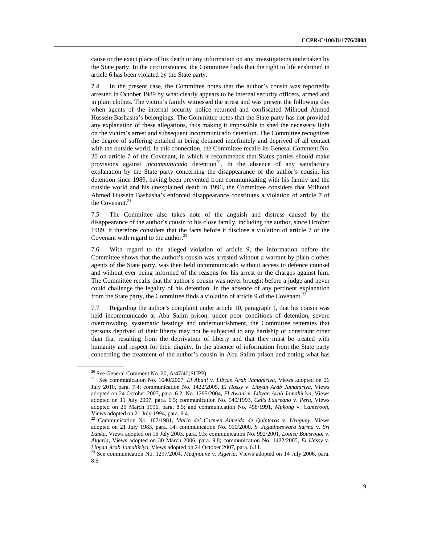cause or the exact place of his death or any information on any investigations undertaken by the State party. In the circumstances, the Committee finds that the right to life enshrined in article 6 has been violated by the State party.

7.4 In the present case, the Committee notes that the author's cousin was reportedly arrested in October 1989 by what clearly appears to be internal security officers, armed and in plain clothes. The victim's family witnessed the arrest and was present the following day when agents of the internal security police returned and confiscated Milhoud Ahmed Hussein Bashasha's belongings. The Committee notes that the State party has not provided any explanation of these allegations, thus making it impossible to shed the necessary light on the victim's arrest and subsequent incommunicado detention. The Committee recognizes the degree of suffering entailed in being detained indefinitely and deprived of all contact with the outside world. In this connection, the Committee recalls its General Comment No. 20 on article 7 of the Covenant, in which it recommends that States parties should make provisions against *incommunicado* detention<sup>20</sup>. In the absence of any satisfactory explanation by the State party concerning the disappearance of the author's cousin, his detention since 1989, having been prevented from communicating with his family and the outside world and his unexplained death in 1996, the Committee considers that Milhoud Ahmed Hussein Bashasha's enforced disappearance constitutes a violation of article 7 of the Covenant.<sup>21</sup>

7.5 The Committee also takes note of the anguish and distress caused by the disappearance of the author's cousin to his close family, including the author, since October 1989. It therefore considers that the facts before it disclose a violation of article 7 of the Covenant with regard to the author. $^{22}$ 

7.6 With regard to the alleged violation of article 9, the information before the Committee shows that the author's cousin was arrested without a warrant by plain clothes agents of the State party, was then held incommunicado without access to defence counsel and without ever being informed of the reasons for his arrest or the charges against him. The Committee recalls that the author's cousin was never brought before a judge and never could challenge the legality of his detention. In the absence of any pertinent explanation from the State party, the Committee finds a violation of article 9 of the Covenant.<sup>2</sup>

7.7 Regarding the author's complaint under article 10, paragraph 1, that his cousin was held incommunicado at Abu Salim prison, under poor conditions of detention, severe overcrowding, systematic beatings and undernourishment, the Committee reiterates that persons deprived of their liberty may not be subjected to any hardship or constraint other than that resulting from the deprivation of liberty and that they must be treated with humanity and respect for their dignity. In the absence of information from the State party concerning the treatment of the author's cousin in Abu Salim prison and noting what has

 $20$  See General Comment No. 20, A/47/40(SUPP).

<sup>21</sup> See communication No. 1640/2007, *El Abani* v. *Libyan Arab Jamahiriya*, Views adopted on 26 July 2010, para. 7.4; communication No. 1422/2005, *El Hassy* v. *Libyan Arab Jamahiriya*, Views adopted on 24 October 2007, para. 6.2; No. 1295/2004, *El Awani* v. *Libyan Arab Jamahiriya*, Views adopted on 11 July 2007, para. 6.5; communication No. 540/1993, *Celis Laureano* v. *Peru*, Views adopted on 25 March 1996, para. 8.5; and communication No. 458/1991, *Mukong* v. *Cameroon*, Views adopted on 21 July 1994, para. 9.4.

<sup>22</sup> Communication No. 107/1981, *Maria del Carmen Almeida de Quinteros* v. *Uruguay*, Views adopted on 21 July 1983, para. 14; communication No. 950/2000, *S. Jegatheeswara Sarma* v. *Sri Lanka*, Views adopted on 16 July 2003, para. 9.5; communication No. 992/2001, *Louisa Bousroual* v. *Algeria*, Views adopted on 30 March 2006, para. 9.8; communication No. 1422/2005, *El Hassy* v.

*Libyan Arab Jamahiriya*, Views adopted on 24 October 2007, para. 6.11. 23 See communication No. 1297/2004, *Medjnoune* v. *Algeria*, Views adopted on 14 July 2006, para. 8.5.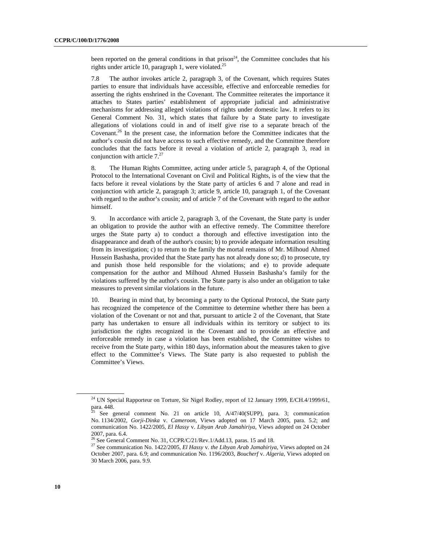been reported on the general conditions in that prison<sup>24</sup>, the Committee concludes that his rights under article 10, paragraph 1, were violated.<sup>25</sup>

7.8 The author invokes article 2, paragraph 3, of the Covenant, which requires States parties to ensure that individuals have accessible, effective and enforceable remedies for asserting the rights enshrined in the Covenant. The Committee reiterates the importance it attaches to States parties' establishment of appropriate judicial and administrative mechanisms for addressing alleged violations of rights under domestic law. It refers to its General Comment No. 31, which states that failure by a State party to investigate allegations of violations could in and of itself give rise to a separate breach of the Covenant.<sup>26</sup> In the present case, the information before the Committee indicates that the author's cousin did not have access to such effective remedy, and the Committee therefore concludes that the facts before it reveal a violation of article 2, paragraph 3, read in conjunction with article  $7.^{27}$ 

8. The Human Rights Committee, acting under article 5, paragraph 4, of the Optional Protocol to the International Covenant on Civil and Political Rights, is of the view that the facts before it reveal violations by the State party of articles 6 and 7 alone and read in conjunction with article 2, paragraph 3; article 9, article 10, paragraph 1, of the Covenant with regard to the author's cousin; and of article 7 of the Covenant with regard to the author himself.

9. In accordance with article 2, paragraph 3, of the Covenant, the State party is under an obligation to provide the author with an effective remedy. The Committee therefore urges the State party a) to conduct a thorough and effective investigation into the disappearance and death of the author's cousin; b) to provide adequate information resulting from its investigation; c) to return to the family the mortal remains of Mr. Milhoud Ahmed Hussein Bashasha, provided that the State party has not already done so; d) to prosecute, try and punish those held responsible for the violations; and e) to provide adequate compensation for the author and Milhoud Ahmed Hussein Bashasha's family for the violations suffered by the author's cousin. The State party is also under an obligation to take measures to prevent similar violations in the future.

10. Bearing in mind that, by becoming a party to the Optional Protocol, the State party has recognized the competence of the Committee to determine whether there has been a violation of the Covenant or not and that, pursuant to article 2 of the Covenant, that State party has undertaken to ensure all individuals within its territory or subject to its jurisdiction the rights recognized in the Covenant and to provide an effective and enforceable remedy in case a violation has been established, the Committee wishes to receive from the State party, within 180 days, information about the measures taken to give effect to the Committee's Views. The State party is also requested to publish the Committee's Views.

<sup>&</sup>lt;sup>24</sup> UN Special Rapporteur on Torture, Sir Nigel Rodley, report of 12 January 1999, E/CH.4/1999/61, para.  $448.$ <sup>25</sup>

<sup>25</sup> See general comment No. 21 on article 10, A/47/40(SUPP), para. 3; communication No. 1134/2002, *Gorji-Dinka* v. *Cameroon*, Views adopted on 17 March 2005, para. 5.2; and communication No. 1422/2005, *El Hassy* v. *Libyan Arab Jamahiriya*, Views adopted on 24 October 2007, para. 6.4.<br><sup>26</sup> See General Comment No. 31, CCPR/C/21/Rev.1/Add.13, paras. 15 and 18.

<sup>&</sup>lt;sup>27</sup> See communication No. 1422/2005, *El Hassy v. the Libyan Arab Jamahiriya*, Views adopted on 24 October 2007, para. 6.9; and communication No. 1196/2003, *Boucherf* v. *Algeria*, Views adopted on 30 March 2006, para. 9.9.